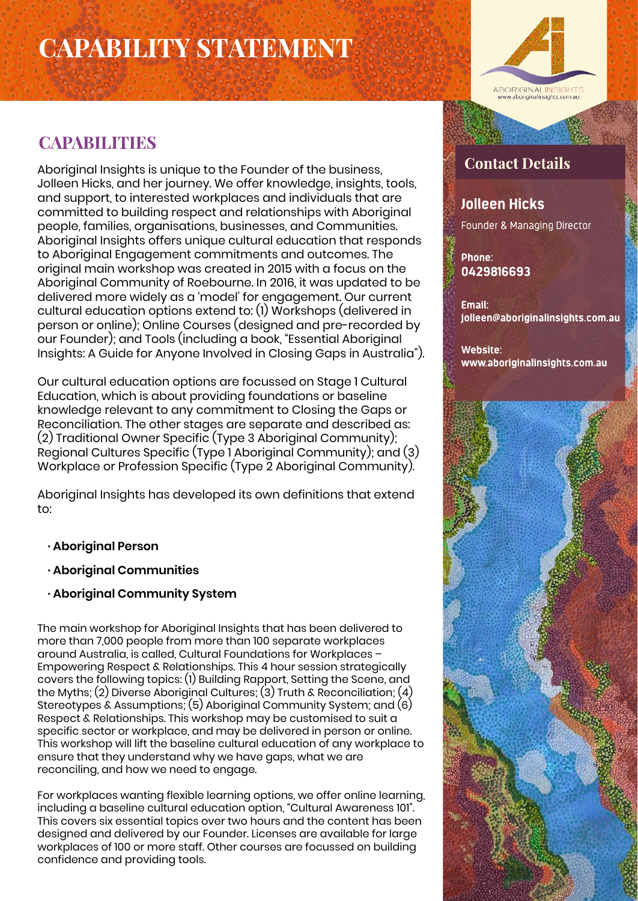# **CAPABILITY STATEMENT**



## **CAPABILITIES**

Aboriginal Insights is unique to the Founder of the business, Jolleen Hicks, and her journey. We offer knowledge, insights, tools, and support, to interested workplaces and individuals that are committed to building respect and relationships with Aboriginal people, families, organisations, businesses, and Communities. Aboriginal Insights offers unique cultural education that responds to Aboriginal Engagement commitments and outcomes. The original main workshop was created in 2015 with a focus on the Aboriginal Community of Roebourne. In 2016, it was updated to be delivered more widely as a 'model' for engagement. Our current cultural education options extend to: (1) Workshops (delivered in person or online); Online Courses (designed and pre-recorded by our Founder); and Tools (including a book, "Essential Aboriginal Insights: A Guide for Anyone Involved in Closing Gaps in Australia").

Our cultural education options are focussed on Stage 1 Cultural Education, which is about providing foundations or baseline knowledge relevant to any commitment to Closing the Gaps or Reconciliation. The other stages are separate and described as: (2) Traditional Owner Specific (Type 3 Aboriginal Community); Regional Cultures Specific (Type 1 Aboriginal Community); and (3) Workplace or Profession Specific (Type 2 Aboriginal Community).

Aboriginal Insights has developed its own definitions that extend to:

- **· Aboriginal Person**
- **· Aboriginal Communities**
- **· Aboriginal Community System**

The main workshop for Aboriginal Insights that has been delivered to more than 7,000 people from more than 100 separate workplaces around Australia, is called, Cultural Foundations for Workplaces – Empowering Respect & Relationships. This 4 hour session strategically covers the following topics: (1) Building Rapport, Setting the Scene, and the Myths; (2) Diverse Aboriginal Cultures; (3) Truth & Reconciliation; (4) Stereotypes & Assumptions; (5) Aboriginal Community System; and (6) Respect & Relationships. This workshop may be customised to suit a specific sector or workplace, and may be delivered in person or online. This workshop will lift the baseline cultural education of any workplace to ensure that they understand why we have gaps, what we are reconciling, and how we need to engage.

For workplaces wanting flexible learning options, we offer online learning, including a baseline cultural education option, "Cultural Awareness 101". This covers six essential topics over two hours and the content has been designed and delivered by our Founder. Licenses are available for large workplaces of 100 or more staff. Other courses are focussed on building confidence and providing tools.

## **Contact Details**

#### **Jolleen Hicks**

Founder & Managing Director

Phone: 0429816693

Email: jolleen@aboriginalinsights.com.au

Website: www.aboriginalinsights.com.au